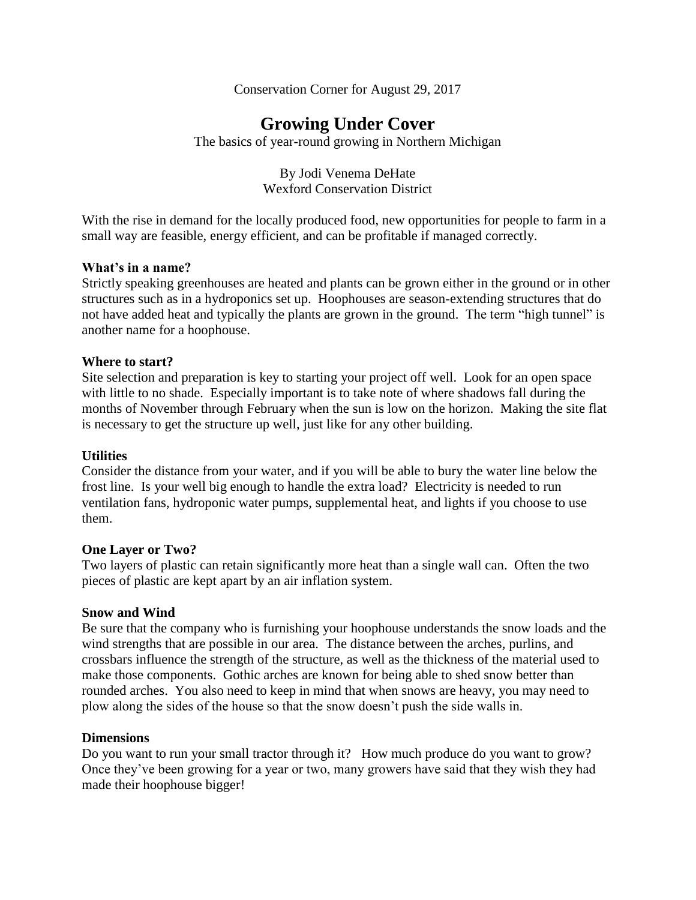Conservation Corner for August 29, 2017

# **Growing Under Cover**

The basics of year-round growing in Northern Michigan

By Jodi Venema DeHate Wexford Conservation District

With the rise in demand for the locally produced food, new opportunities for people to farm in a small way are feasible, energy efficient, and can be profitable if managed correctly.

#### **What's in a name?**

Strictly speaking greenhouses are heated and plants can be grown either in the ground or in other structures such as in a hydroponics set up. Hoophouses are season-extending structures that do not have added heat and typically the plants are grown in the ground. The term "high tunnel" is another name for a hoophouse.

#### **Where to start?**

Site selection and preparation is key to starting your project off well. Look for an open space with little to no shade. Especially important is to take note of where shadows fall during the months of November through February when the sun is low on the horizon. Making the site flat is necessary to get the structure up well, just like for any other building.

#### **Utilities**

Consider the distance from your water, and if you will be able to bury the water line below the frost line. Is your well big enough to handle the extra load? Electricity is needed to run ventilation fans, hydroponic water pumps, supplemental heat, and lights if you choose to use them.

### **One Layer or Two?**

Two layers of plastic can retain significantly more heat than a single wall can. Often the two pieces of plastic are kept apart by an air inflation system.

#### **Snow and Wind**

Be sure that the company who is furnishing your hoophouse understands the snow loads and the wind strengths that are possible in our area. The distance between the arches, purlins, and crossbars influence the strength of the structure, as well as the thickness of the material used to make those components. Gothic arches are known for being able to shed snow better than rounded arches. You also need to keep in mind that when snows are heavy, you may need to plow along the sides of the house so that the snow doesn't push the side walls in.

### **Dimensions**

Do you want to run your small tractor through it? How much produce do you want to grow? Once they've been growing for a year or two, many growers have said that they wish they had made their hoophouse bigger!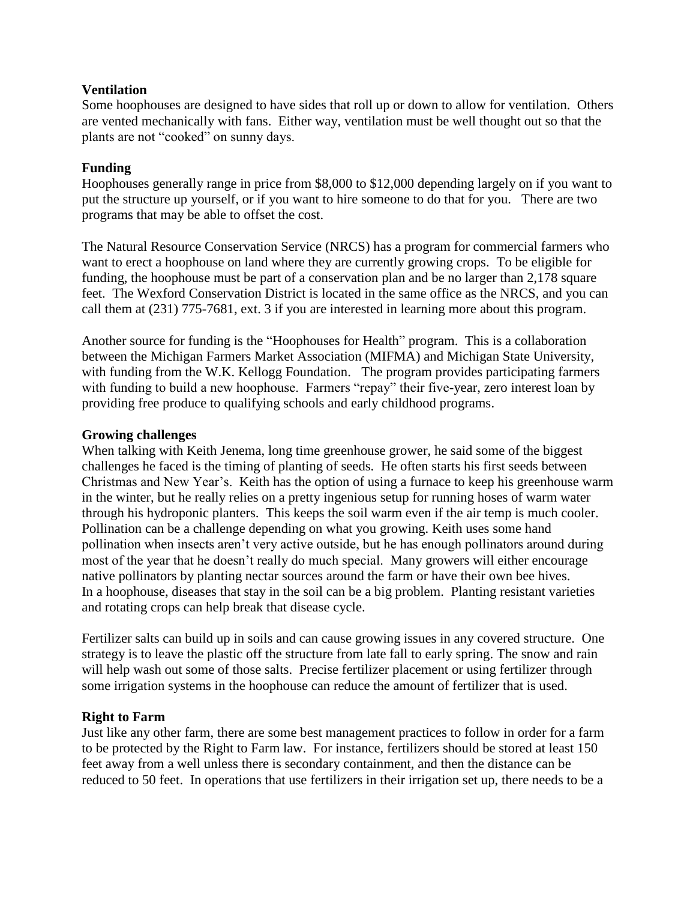### **Ventilation**

Some hoophouses are designed to have sides that roll up or down to allow for ventilation. Others are vented mechanically with fans. Either way, ventilation must be well thought out so that the plants are not "cooked" on sunny days.

## **Funding**

Hoophouses generally range in price from \$8,000 to \$12,000 depending largely on if you want to put the structure up yourself, or if you want to hire someone to do that for you. There are two programs that may be able to offset the cost.

The Natural Resource Conservation Service (NRCS) has a program for commercial farmers who want to erect a hoophouse on land where they are currently growing crops. To be eligible for funding, the hoophouse must be part of a conservation plan and be no larger than 2,178 square feet. The Wexford Conservation District is located in the same office as the NRCS, and you can call them at (231) 775-7681, ext. 3 if you are interested in learning more about this program.

Another source for funding is the "Hoophouses for Health" program. This is a collaboration between the Michigan Farmers Market Association (MIFMA) and Michigan State University, with funding from the W.K. Kellogg Foundation. The program provides participating farmers with funding to build a new hoophouse. Farmers "repay" their five-year, zero interest loan by providing free produce to qualifying schools and early childhood programs.

### **Growing challenges**

When talking with Keith Jenema, long time greenhouse grower, he said some of the biggest challenges he faced is the timing of planting of seeds. He often starts his first seeds between Christmas and New Year's. Keith has the option of using a furnace to keep his greenhouse warm in the winter, but he really relies on a pretty ingenious setup for running hoses of warm water through his hydroponic planters. This keeps the soil warm even if the air temp is much cooler. Pollination can be a challenge depending on what you growing. Keith uses some hand pollination when insects aren't very active outside, but he has enough pollinators around during most of the year that he doesn't really do much special. Many growers will either encourage native pollinators by planting nectar sources around the farm or have their own bee hives. In a hoophouse, diseases that stay in the soil can be a big problem. Planting resistant varieties and rotating crops can help break that disease cycle.

Fertilizer salts can build up in soils and can cause growing issues in any covered structure. One strategy is to leave the plastic off the structure from late fall to early spring. The snow and rain will help wash out some of those salts. Precise fertilizer placement or using fertilizer through some irrigation systems in the hoophouse can reduce the amount of fertilizer that is used.

### **Right to Farm**

Just like any other farm, there are some best management practices to follow in order for a farm to be protected by the Right to Farm law. For instance, fertilizers should be stored at least 150 feet away from a well unless there is secondary containment, and then the distance can be reduced to 50 feet. In operations that use fertilizers in their irrigation set up, there needs to be a